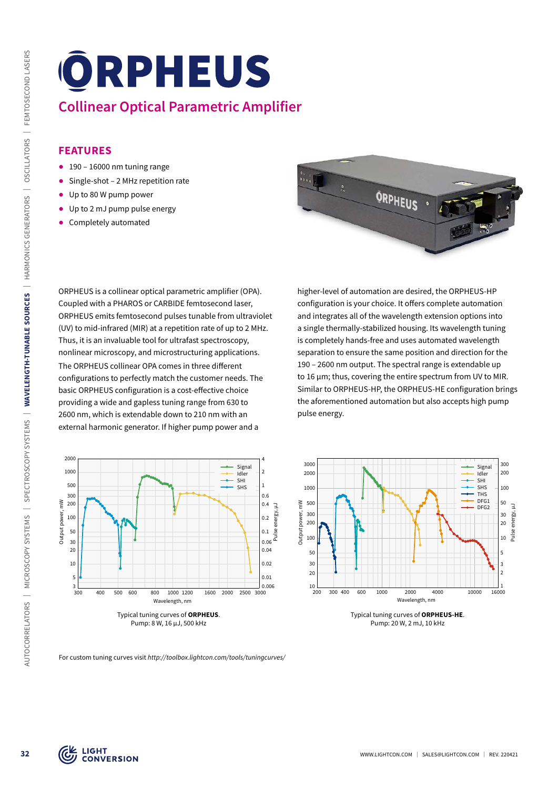## **Collinear Optical Parametric Amplifier**

## **FEATURES**

- $\bullet$  190 16000 nm tuning range
- Single-shot 2 MHz repetition rate
- ᰋ Up to 80 W pump power
- ᰋ Up to 2 mJ pump pulse energy
- ᰋ Completely automated





higher-level of automation are desired, the ORPHEUS-HP configuration is your choice. It offers complete automation and integrates all of the wavelength extension options into a single thermally-stabilized housing. Its wavelength tuning is completely hands-free and uses automated wavelength separation to ensure the same position and direction for the 190 – 2600 nm output. The spectral range is extendable up to 16 µm; thus, covering the entire spectrum from UV to MIR. Similar to ORPHEUS-HP, the ORPHEUS-HE configuration brings the aforementioned automation but also accepts high pump pulse energy.





Typical tuning curves of **ORPHEUS-HE**. Pump: 20 W, 2 mJ, 10 kHz

For custom tuning curves visit *http://toolbox.lightcon.com/tools/tuningcurves/*